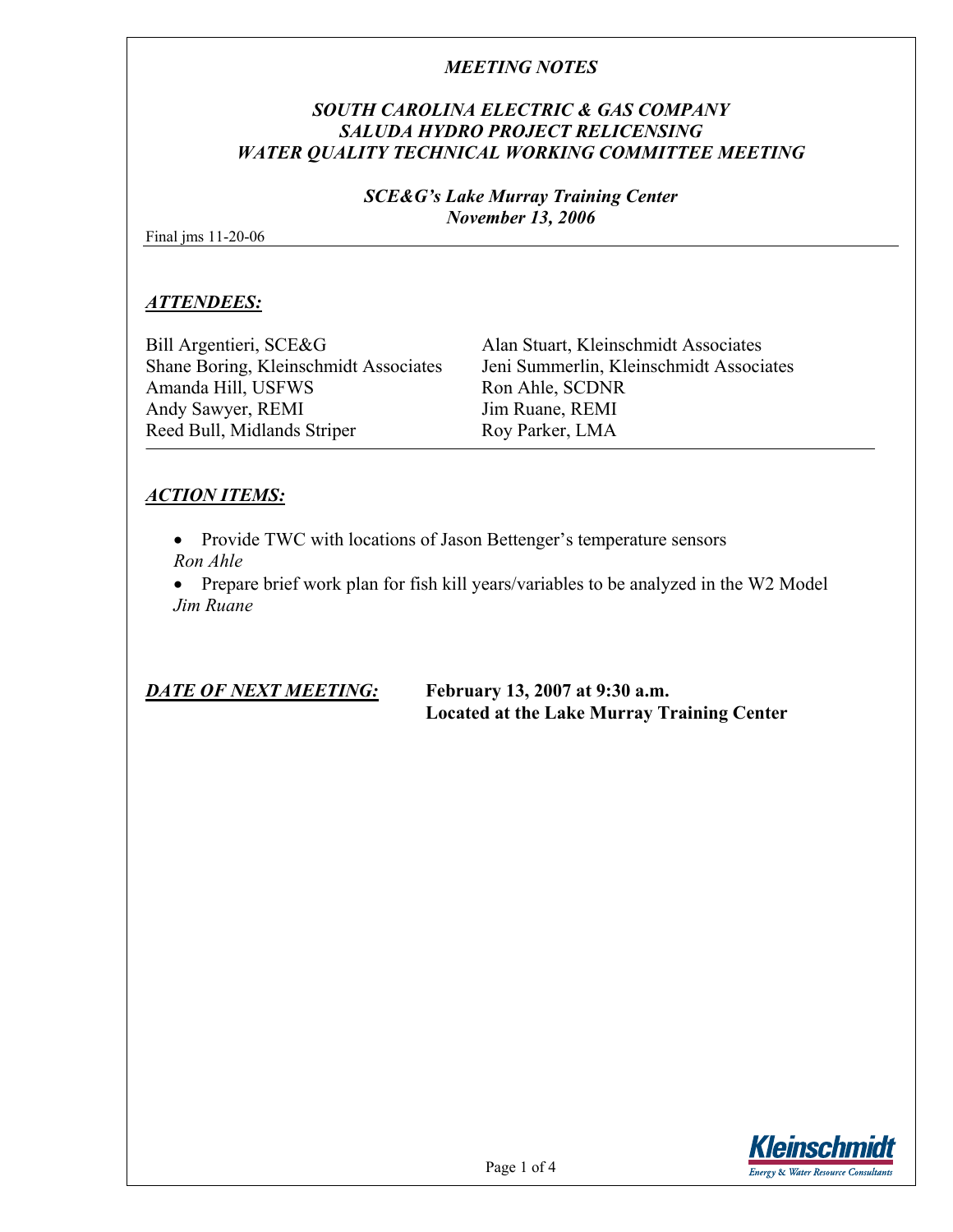## *SOUTH CAROLINA ELECTRIC & GAS COMPANY SALUDA HYDRO PROJECT RELICENSING WATER QUALITY TECHNICAL WORKING COMMITTEE MEETING*

#### *SCE&G's Lake Murray Training Center November 13, 2006*

Final jms 11-20-06

### *ATTENDEES:*

Bill Argentieri, SCE&G Alan Stuart, Kleinschmidt Associates Amanda Hill, USFWS Ron Ahle, SCDNR Andy Sawyer, REMI Jim Ruane, REMI Reed Bull, Midlands Striper Roy Parker, LMA

Shane Boring, Kleinschmidt Associates Jeni Summerlin, Kleinschmidt Associates

# *ACTION ITEMS:*

• Provide TWC with locations of Jason Bettenger's temperature sensors *Ron Ahle* 

• Prepare brief work plan for fish kill years/variables to be analyzed in the W2 Model *Jim Ruane* 

*DATE OF NEXT MEETING:* **February 13, 2007 at 9:30 a.m. Located at the Lake Murray Training Center** 

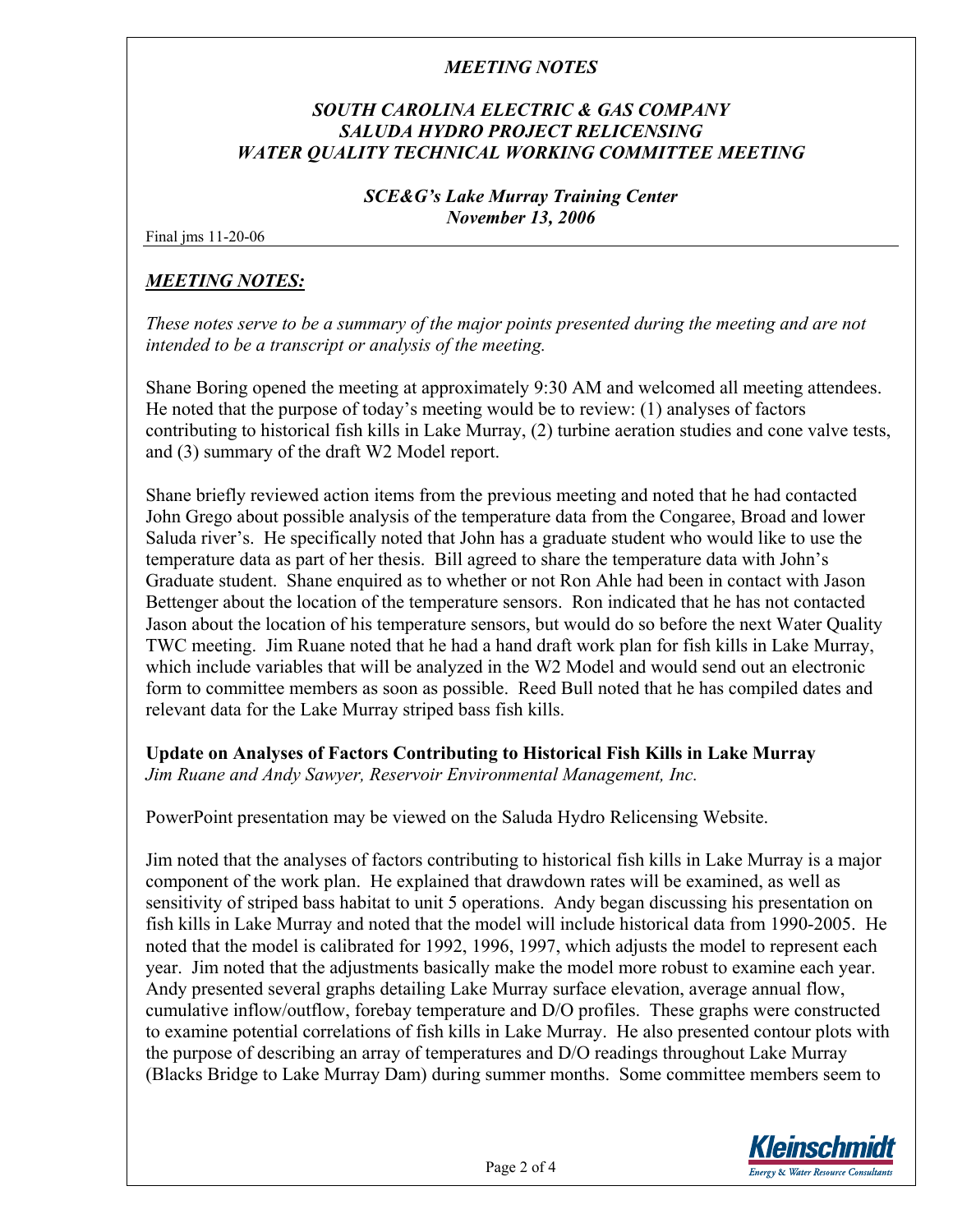# *SOUTH CAROLINA ELECTRIC & GAS COMPANY SALUDA HYDRO PROJECT RELICENSING WATER QUALITY TECHNICAL WORKING COMMITTEE MEETING*

#### *SCE&G's Lake Murray Training Center November 13, 2006*

Final jms 11-20-06

## *MEETING NOTES:*

*These notes serve to be a summary of the major points presented during the meeting and are not intended to be a transcript or analysis of the meeting.* 

Shane Boring opened the meeting at approximately 9:30 AM and welcomed all meeting attendees. He noted that the purpose of today's meeting would be to review: (1) analyses of factors contributing to historical fish kills in Lake Murray, (2) turbine aeration studies and cone valve tests, and (3) summary of the draft W2 Model report.

Shane briefly reviewed action items from the previous meeting and noted that he had contacted John Grego about possible analysis of the temperature data from the Congaree, Broad and lower Saluda river's. He specifically noted that John has a graduate student who would like to use the temperature data as part of her thesis. Bill agreed to share the temperature data with John's Graduate student. Shane enquired as to whether or not Ron Ahle had been in contact with Jason Bettenger about the location of the temperature sensors. Ron indicated that he has not contacted Jason about the location of his temperature sensors, but would do so before the next Water Quality TWC meeting. Jim Ruane noted that he had a hand draft work plan for fish kills in Lake Murray, which include variables that will be analyzed in the W2 Model and would send out an electronic form to committee members as soon as possible. Reed Bull noted that he has compiled dates and relevant data for the Lake Murray striped bass fish kills.

**Update on Analyses of Factors Contributing to Historical Fish Kills in Lake Murray**  *Jim Ruane and Andy Sawyer, Reservoir Environmental Management, Inc.* 

PowerPoint presentation may be viewed on the Saluda Hydro Relicensing Website.

Jim noted that the analyses of factors contributing to historical fish kills in Lake Murray is a major component of the work plan. He explained that drawdown rates will be examined, as well as sensitivity of striped bass habitat to unit 5 operations. Andy began discussing his presentation on fish kills in Lake Murray and noted that the model will include historical data from 1990-2005. He noted that the model is calibrated for 1992, 1996, 1997, which adjusts the model to represent each year. Jim noted that the adjustments basically make the model more robust to examine each year. Andy presented several graphs detailing Lake Murray surface elevation, average annual flow, cumulative inflow/outflow, forebay temperature and D/O profiles. These graphs were constructed to examine potential correlations of fish kills in Lake Murray. He also presented contour plots with the purpose of describing an array of temperatures and D/O readings throughout Lake Murray (Blacks Bridge to Lake Murray Dam) during summer months. Some committee members seem to

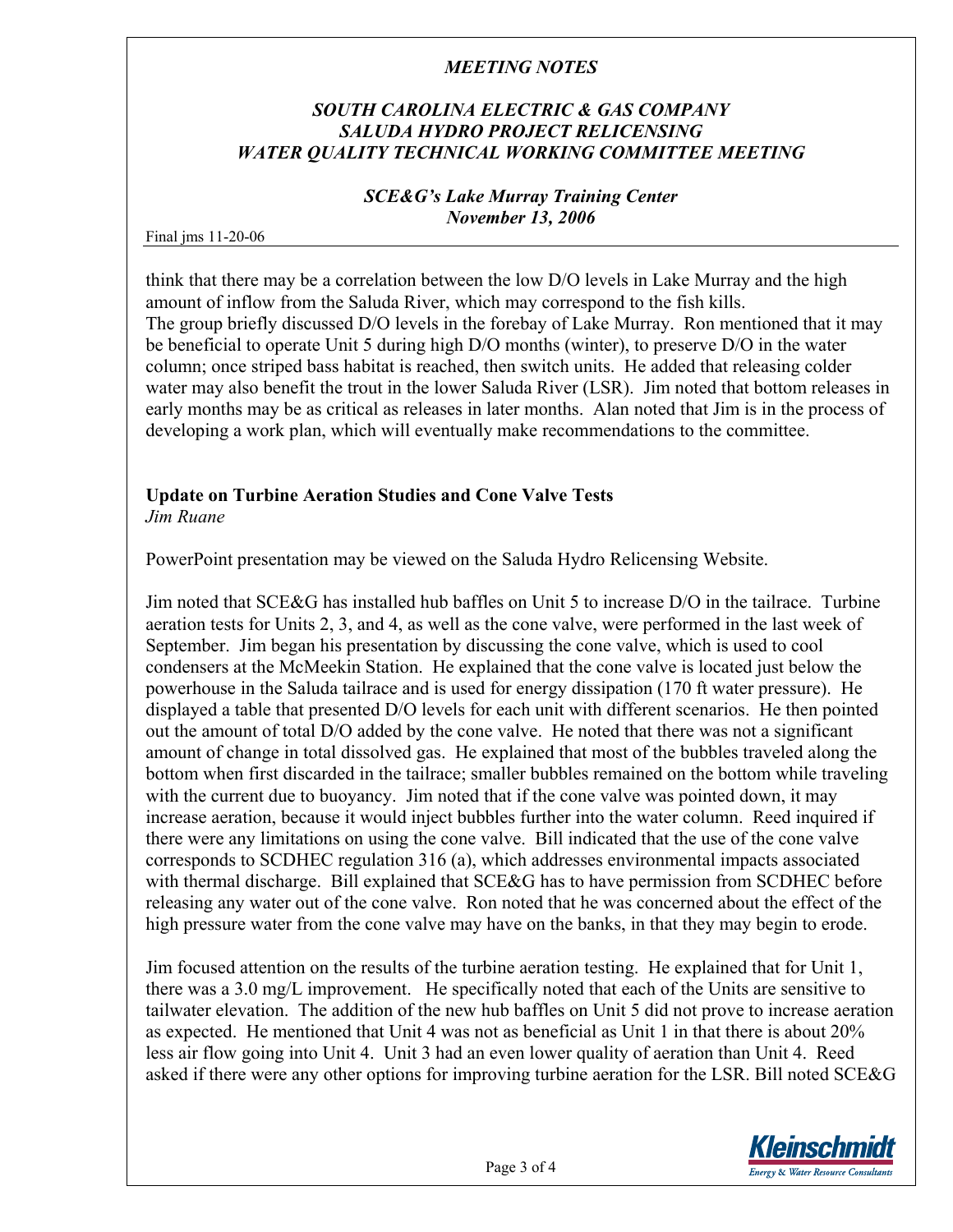# *SOUTH CAROLINA ELECTRIC & GAS COMPANY SALUDA HYDRO PROJECT RELICENSING WATER QUALITY TECHNICAL WORKING COMMITTEE MEETING*

#### *SCE&G's Lake Murray Training Center November 13, 2006*

Final jms 11-20-06

think that there may be a correlation between the low D/O levels in Lake Murray and the high amount of inflow from the Saluda River, which may correspond to the fish kills. The group briefly discussed D/O levels in the forebay of Lake Murray. Ron mentioned that it may be beneficial to operate Unit 5 during high D/O months (winter), to preserve D/O in the water column; once striped bass habitat is reached, then switch units. He added that releasing colder water may also benefit the trout in the lower Saluda River (LSR). Jim noted that bottom releases in early months may be as critical as releases in later months. Alan noted that Jim is in the process of developing a work plan, which will eventually make recommendations to the committee.

#### **Update on Turbine Aeration Studies and Cone Valve Tests**  *Jim Ruane*

PowerPoint presentation may be viewed on the Saluda Hydro Relicensing Website.

Jim noted that SCE&G has installed hub baffles on Unit 5 to increase D/O in the tailrace. Turbine aeration tests for Units 2, 3, and 4, as well as the cone valve, were performed in the last week of September. Jim began his presentation by discussing the cone valve, which is used to cool condensers at the McMeekin Station. He explained that the cone valve is located just below the powerhouse in the Saluda tailrace and is used for energy dissipation (170 ft water pressure). He displayed a table that presented D/O levels for each unit with different scenarios. He then pointed out the amount of total D/O added by the cone valve. He noted that there was not a significant amount of change in total dissolved gas. He explained that most of the bubbles traveled along the bottom when first discarded in the tailrace; smaller bubbles remained on the bottom while traveling with the current due to buoyancy. Jim noted that if the cone valve was pointed down, it may increase aeration, because it would inject bubbles further into the water column. Reed inquired if there were any limitations on using the cone valve. Bill indicated that the use of the cone valve corresponds to SCDHEC regulation 316 (a), which addresses environmental impacts associated with thermal discharge. Bill explained that SCE&G has to have permission from SCDHEC before releasing any water out of the cone valve. Ron noted that he was concerned about the effect of the high pressure water from the cone valve may have on the banks, in that they may begin to erode.

Jim focused attention on the results of the turbine aeration testing. He explained that for Unit 1, there was a 3.0 mg/L improvement. He specifically noted that each of the Units are sensitive to tailwater elevation. The addition of the new hub baffles on Unit 5 did not prove to increase aeration as expected. He mentioned that Unit 4 was not as beneficial as Unit 1 in that there is about 20% less air flow going into Unit 4. Unit 3 had an even lower quality of aeration than Unit 4. Reed asked if there were any other options for improving turbine aeration for the LSR. Bill noted SCE&G